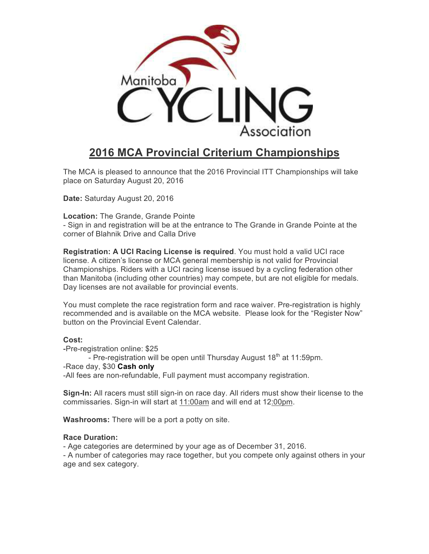

# **2016 MCA Provincial Criterium Championships**

The MCA is pleased to announce that the 2016 Provincial ITT Championships will take place on Saturday August 20, 2016

**Date:** Saturday August 20, 2016

**Location:** The Grande, Grande Pointe

- Sign in and registration will be at the entrance to The Grande in Grande Pointe at the corner of Blahnik Drive and Calla Drive

**Registration: A UCI Racing License is required**. You must hold a valid UCI race license. A citizen's license or MCA general membership is not valid for Provincial Championships. Riders with a UCI racing license issued by a cycling federation other than Manitoba (including other countries) may compete, but are not eligible for medals. Day licenses are not available for provincial events.

You must complete the race registration form and race waiver. Pre-registration is highly recommended and is available on the MCA website. Please look for the "Register Now" button on the Provincial Event Calendar.

#### **Cost:**

-Pre-registration online: \$25

- Pre-registration will be open until Thursday August  $18<sup>th</sup>$  at 11:59pm.

-Race day, \$30 **Cash only**

-All fees are non-refundable, Full payment must accompany registration.

**Sign-In:** All racers must still sign-in on race day. All riders must show their license to the commissaries. Sign-in will start at 11:00am and will end at 12:00pm.

**Washrooms:** There will be a port a potty on site.

### **Race Duration:**

- Age categories are determined by your age as of December 31, 2016.

- A number of categories may race together, but you compete only against others in your age and sex category.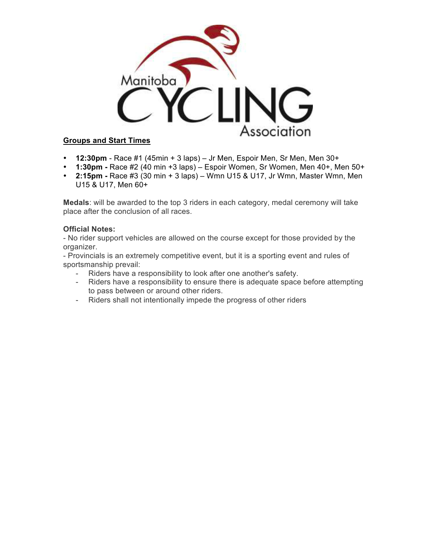

## **Groups and Start Times**

- **12:30pm** Race #1 (45min + 3 laps) Jr Men, Espoir Men, Sr Men, Men 30+
- **1:30pm -** Race #2 (40 min +3 laps) Espoir Women, Sr Women, Men 40+, Men 50+
- **2:15pm -** Race #3 (30 min + 3 laps) Wmn U15 & U17, Jr Wmn, Master Wmn, Men U15 & U17, Men 60+

**Medals**: will be awarded to the top 3 riders in each category, medal ceremony will take place after the conclusion of all races.

### **Official Notes:**

- No rider support vehicles are allowed on the course except for those provided by the organizer.

- Provincials is an extremely competitive event, but it is a sporting event and rules of sportsmanship prevail:

- Riders have a responsibility to look after one another's safety.
- Riders have a responsibility to ensure there is adequate space before attempting to pass between or around other riders.
- Riders shall not intentionally impede the progress of other riders